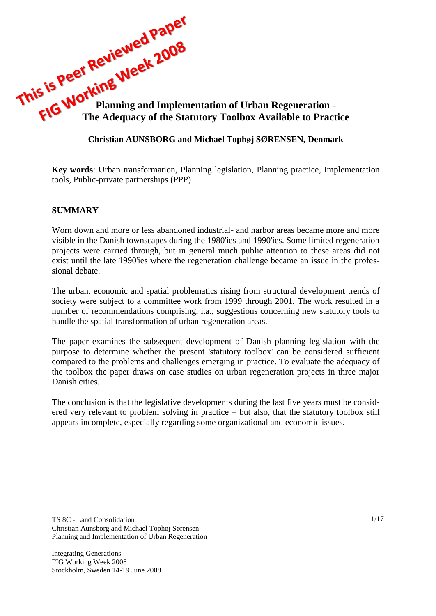

### **Christian AUNSBORG and Michael Tophøj SØRENSEN, Denmark**

**Key words**: Urban transformation, Planning legislation, Planning practice, Implementation tools, Public-private partnerships (PPP)

### **SUMMARY**

Worn down and more or less abandoned industrial- and harbor areas became more and more visible in the Danish townscapes during the 1980'ies and 1990'ies. Some limited regeneration projects were carried through, but in general much public attention to these areas did not exist until the late 1990'ies where the regeneration challenge became an issue in the professional debate.

The urban, economic and spatial problematics rising from structural development trends of society were subject to a committee work from 1999 through 2001. The work resulted in a number of recommendations comprising, i.a., suggestions concerning new statutory tools to handle the spatial transformation of urban regeneration areas.

The paper examines the subsequent development of Danish planning legislation with the purpose to determine whether the present 'statutory toolbox' can be considered sufficient compared to the problems and challenges emerging in practice. To evaluate the adequacy of the toolbox the paper draws on case studies on urban regeneration projects in three major Danish cities.

The conclusion is that the legislative developments during the last five years must be considered very relevant to problem solving in practice – but also, that the statutory toolbox still appears incomplete, especially regarding some organizational and economic issues.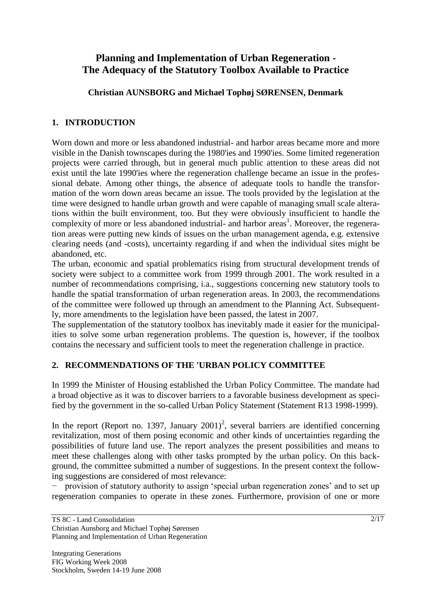# **Planning and Implementation of Urban Regeneration - The Adequacy of the Statutory Toolbox Available to Practice**

**Christian AUNSBORG and Michael Tophøj SØRENSEN, Denmark**

# **1. INTRODUCTION**

Worn down and more or less abandoned industrial- and harbor areas became more and more visible in the Danish townscapes during the 1980'ies and 1990'ies. Some limited regeneration projects were carried through, but in general much public attention to these areas did not exist until the late 1990'ies where the regeneration challenge became an issue in the professional debate. Among other things, the absence of adequate tools to handle the transformation of the worn down areas became an issue. The tools provided by the legislation at the time were designed to handle urban growth and were capable of managing small scale alterations within the built environment, too. But they were obviously insufficient to handle the complexity of more or less abandoned industrial- and harbor areas<sup>1</sup>. Moreover, the regeneration areas were putting new kinds of issues on the urban management agenda, e.g. extensive clearing needs (and -costs), uncertainty regarding if and when the individual sites might be abandoned, etc.

The urban, economic and spatial problematics rising from structural development trends of society were subject to a committee work from 1999 through 2001. The work resulted in a number of recommendations comprising, i.a., suggestions concerning new statutory tools to handle the spatial transformation of urban regeneration areas. In 2003, the recommendations of the committee were followed up through an amendment to the Planning Act. Subsequently, more amendments to the legislation have been passed, the latest in 2007.

The supplementation of the statutory toolbox has inevitably made it easier for the municipalities to solve some urban regeneration problems. The question is, however, if the toolbox contains the necessary and sufficient tools to meet the regeneration challenge in practice.

# **2. RECOMMENDATIONS OF THE 'URBAN POLICY COMMITTEE**

In 1999 the Minister of Housing established the Urban Policy Committee. The mandate had a broad objective as it was to discover barriers to a favorable business development as specified by the government in the so-called Urban Policy Statement (Statement R13 1998-1999).

In the report (Report no. 1397, January 2001)<sup>2</sup>, several barriers are identified concerning revitalization, most of them posing economic and other kinds of uncertainties regarding the possibilities of future land use. The report analyzes the present possibilities and means to meet these challenges along with other tasks prompted by the urban policy. On this background, the committee submitted a number of suggestions. In the present context the following suggestions are considered of most relevance:

− provision of statutory authority to assign 'special urban regeneration zones' and to set up regeneration companies to operate in these zones. Furthermore, provision of one or more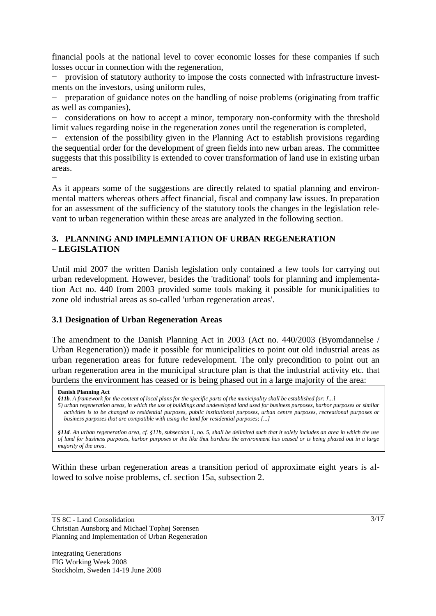financial pools at the national level to cover economic losses for these companies if such losses occur in connection with the regeneration,

− provision of statutory authority to impose the costs connected with infrastructure investments on the investors, using uniform rules,

preparation of guidance notes on the handling of noise problems (originating from traffic as well as companies),

− considerations on how to accept a minor, temporary non-conformity with the threshold limit values regarding noise in the regeneration zones until the regeneration is completed,

− extension of the possibility given in the Planning Act to establish provisions regarding the sequential order for the development of green fields into new urban areas. The committee suggests that this possibility is extended to cover transformation of land use in existing urban areas.

− As it appears some of the suggestions are directly related to spatial planning and environmental matters whereas others affect financial, fiscal and company law issues. In preparation for an assessment of the sufficiency of the statutory tools the changes in the legislation relevant to urban regeneration within these areas are analyzed in the following section.

### **3. PLANNING AND IMPLEMNTATION OF URBAN REGENERATION – LEGISLATION**

Until mid 2007 the written Danish legislation only contained a few tools for carrying out urban redevelopment. However, besides the 'traditional' tools for planning and implementation Act no. 440 from 2003 provided some tools making it possible for municipalities to zone old industrial areas as so-called 'urban regeneration areas'.

### **3.1 Designation of Urban Regeneration Areas**

The amendment to the Danish Planning Act in 2003 (Act no. 440/2003 (Byomdannelse / Urban Regeneration)) made it possible for municipalities to point out old industrial areas as urban regeneration areas for future redevelopment. The only precondition to point out an urban regeneration area in the municipal structure plan is that the industrial activity etc. that burdens the environment has ceased or is being phased out in a large majority of the area:

#### **Danish Planning Act**

*§11b. A framework for the content of local plans for the specific parts of the municipality shall be established for: [...]*

*5) urban regeneration areas, in which the use of buildings and undeveloped land used for business purposes, harbor purposes or similar activities is to be changed to residential purposes, public institutional purposes, urban centre purposes, recreational purposes or business purposes that are compatible with using the land for residential purposes; [...]*

*§11d. An urban regeneration area, cf. §11b, subsection 1, no. 5, shall be delimited such that it solely includes an area in which the use of land for business purposes, harbor purposes or the like that burdens the environment has ceased or is being phased out in a large majority of the area.* 

Within these urban regeneration areas a transition period of approximate eight years is allowed to solve noise problems, cf. section 15a, subsection 2.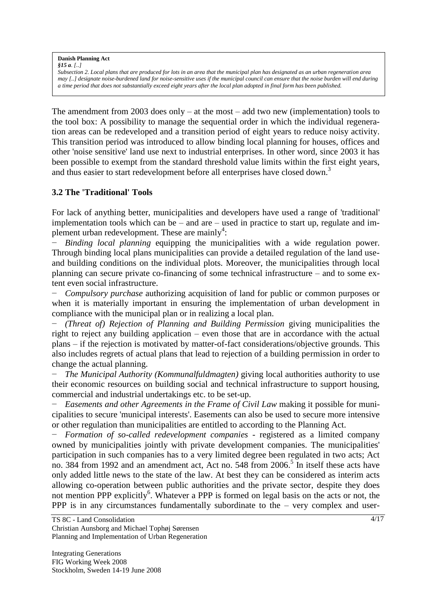**Danish Planning Act** *§15 a. [..]* 

*Subsection 2. Local plans that are produced for lots in an area that the municipal plan has designated as an urban regeneration area may [..] designate noise-burdened land for noise-sensitive uses if the municipal council can ensure that the noise burden will end during a time period that does not substantially exceed eight years after the local plan adopted in final form has been published.*

The amendment from 2003 does only – at the most – add two new (implementation) tools to the tool box: A possibility to manage the sequential order in which the individual regeneration areas can be redeveloped and a transition period of eight years to reduce noisy activity. This transition period was introduced to allow binding local planning for houses, offices and other 'noise sensitive' land use next to industrial enterprises. In other word, since 2003 it has been possible to exempt from the standard threshold value limits within the first eight years, and thus easier to start redevelopment before all enterprises have closed down.<sup>3</sup>

### **3.2 The 'Traditional' Tools**

For lack of anything better, municipalities and developers have used a range of 'traditional' implementation tools which can be – and are – used in practice to start up, regulate and implement urban redevelopment. These are mainly<sup>4</sup>:

*Binding local planning* equipping the municipalities with a wide regulation power. Through binding local plans municipalities can provide a detailed regulation of the land useand building conditions on the individual plots. Moreover, the municipalities through local planning can secure private co-financing of some technical infrastructure – and to some extent even social infrastructure.

*Compulsory purchase* authorizing acquisition of land for public or common purposes or when it is materially important in ensuring the implementation of urban development in compliance with the municipal plan or in realizing a local plan.

− *(Threat of) Rejection of Planning and Building Permission* giving municipalities the right to reject any building application – even those that are in accordance with the actual plans – if the rejection is motivated by matter-of-fact considerations/objective grounds. This also includes regrets of actual plans that lead to rejection of a building permission in order to change the actual planning.

− *The Municipal Authority (Kommunalfuldmagten)* giving local authorities authority to use their economic resources on building social and technical infrastructure to support housing, commercial and industrial undertakings etc. to be set-up.

− *Easements and other Agreements in the Frame of Civil Law* making it possible for municipalities to secure 'municipal interests'. Easements can also be used to secure more intensive or other regulation than municipalities are entitled to according to the Planning Act.

− *Formation of so-called redevelopment companies* - registered as a limited company owned by municipalities jointly with private development companies. The municipalities' participation in such companies has to a very limited degree been regulated in two acts; Act no. 384 from 1992 and an amendment act, Act no. 548 from 2006.<sup>5</sup> In itself these acts have only added little news to the state of the law. At best they can be considered as interim acts allowing co-operation between public authorities and the private sector, despite they does not mention PPP explicitly<sup>6</sup>. Whatever a PPP is formed on legal basis on the acts or not, the PPP is in any circumstances fundamentally subordinate to the – very complex and user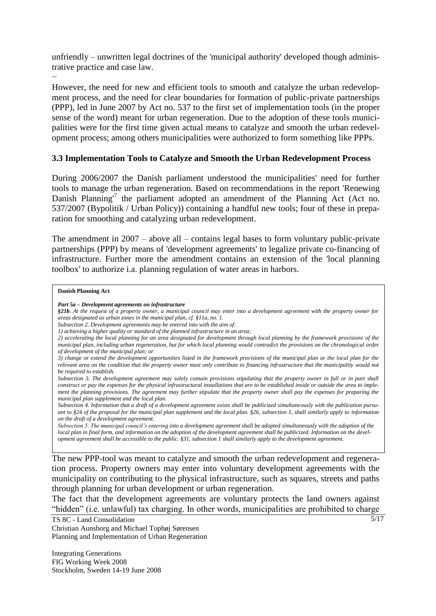unfriendly – unwritten legal doctrines of the 'municipal authority' developed though administrative practice and case law.

− However, the need for new and efficient tools to smooth and catalyze the urban redevelopment process, and the need for clear boundaries for formation of public-private partnerships (PPP), led in June 2007 by Act no. 537 to the first set of implementation tools (in the proper sense of the word) meant for urban regeneration. Due to the adoption of these tools municipalities were for the first time given actual means to catalyze and smooth the urban redevelopment process; among others municipalities were authorized to form something like PPPs.

### **3.3 Implementation Tools to Catalyze and Smooth the Urban Redevelopment Process**

During 2006/2007 the Danish parliament understood the municipalities' need for further tools to manage the urban regeneration. Based on recommendations in the report 'Renewing Danish Planning<sup>7</sup> the parliament adopted an amendment of the Planning Act (Act no. 537/2007 (Bypolitik / Urban Policy)) containing a handful new tools; four of these in preparation for smoothing and catalyzing urban redevelopment.

The amendment in 2007 – above all – contains legal bases to form voluntary public-private partnerships (PPP) by means of 'development agreements' to legalize private co-financing of infrastructure. Further more the amendment contains an extension of the 'local planning toolbox' to authorize i.a. planning regulation of water areas in harbors.

#### **Danish Planning Act**

*§21b. At the request of a property owner, a municipal council may enter into a development agreement with the property owner for areas designated as urban zones in the municipal plan, cf. §11a, no. 1.* 

*Subsection 5. The municipal council's entering into a development agreement shall be adopted simultaneously with the adoption of the local plan in final form, and information on the adoption of the development agreement shall be publicized. Information on the development agreement shall be accessible to the public. §31, subsection 1 shall similarly apply to the development agreement.*

The new PPP-tool was meant to catalyze and smooth the urban redevelopment and regeneration process. Property owners may enter into voluntary development agreements with the municipality on contributing to the physical infrastructure, such as squares, streets and paths through planning for urban development or urban regeneration.

The fact that the development agreements are voluntary protects the land owners against "hidden" (i.e. unlawful) tax charging. In other words, municipalities are prohibited to charge

TS 8C - Land Consolidation Christian Aunsborg and Michael Tophøj Sørensen Planning and Implementation of Urban Regeneration

Integrating Generations FIG Working Week 2008 Stockholm, Sweden 14-19 June 2008  $5/17$ 

*Part 5a – Development agreements on infrastructure* 

*Subsection 2. Development agreements may be entered into with the aim of:* 

*<sup>1)</sup> achieving a higher quality or standard of the planned infrastructure in an area;* 

*<sup>2)</sup> accelerating the local planning for an area designated for development through local planning by the framework provisions of the municipal plan, including urban regeneration, but for which local planning would contradict the provisions on the chronological order of development of the municipal plan; or* 

*<sup>3)</sup> change or extend the development opportunities listed in the framework provisions of the municipal plan or the local plan for the relevant area on the condition that the property owner must only contribute to financing infrastructure that the municipality would not be required to establish.* 

*Subsection 3. The development agreement may solely contain provisions stipulating that the property owner in full or in part shall construct or pay the expenses for the physical infrastructural installations that are to be established inside or outside the area to implement the planning provisions. The agreement may further stipulate that the property owner shall pay the expenses for preparing the municipal plan supplement and the local plan.* 

*Subsection 4. Information that a draft of a development agreement exists shall be publicized simultaneously with the publication pursuant to §24 of the proposal for the municipal plan supplement and the local plan. §26, subsection 1, shall similarly apply to information on the draft of a development agreement.*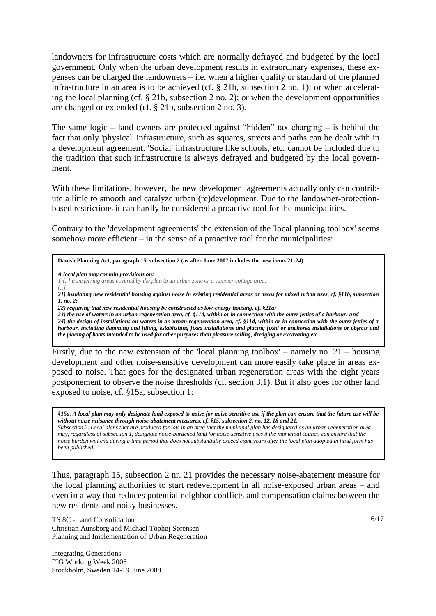landowners for infrastructure costs which are normally defrayed and budgeted by the local government. Only when the urban development results in extraordinary expenses, these expenses can be charged the landowners – i.e. when a higher quality or standard of the planned infrastructure in an area is to be achieved (cf. § 21b, subsection 2 no. 1); or when accelerating the local planning (cf. § 21b, subsection 2 no. 2); or when the development opportunities are changed or extended (cf. § 21b, subsection 2 no. 3).

The same logic – land owners are protected against "hidden" tax charging – is behind the fact that only 'physical' infrastructure, such as squares, streets and paths can be dealt with in a development agreement. 'Social' infrastructure like schools, etc. cannot be included due to the tradition that such infrastructure is always defrayed and budgeted by the local government.

With these limitations, however, the new development agreements actually only can contribute a little to smooth and catalyze urban (re)development. Due to the landowner-protectionbased restrictions it can hardly be considered a proactive tool for the municipalities.

Contrary to the 'development agreements' the extension of the 'local planning toolbox' seems somehow more efficient – in the sense of a proactive tool for the municipalities:

**Danish Planning Act, paragraph 15, subsection 2 (as after June 2007 includes the new items 21-24)**

*A local plan may contain provisions on:*

*1)[..] transferring areas covered by the plan to an urban zone or a summer cottage area;*

*[..] 21) insulating new residential housing against noise in existing residential areas or areas for mixed urban uses, cf. §11b, subsection 1, no. 2;* 

*22) requiring that new residential housing be constructed as low-energy housing, cf. §21a;* 

*23) the use of waters in an urban regeneration area, cf. §11d, within or in connection with the outer jetties of a harbour; and 24) the design of installations on waters in an urban regeneration area, cf. §11d, within or in connection with the outer jetties of a harbour, including damming and filling, establishing fixed installations and placing fixed or anchored installations or objects and the placing of boats intended to be used for other purposes than pleasure sailing, dredging or excavating etc.*

Firstly, due to the new extension of the 'local planning toolbox' – namely no. 21 – housing development and other noise-sensitive development can more easily take place in areas exposed to noise. That goes for the designated urban regeneration areas with the eight years postponement to observe the noise thresholds (cf. section 3.1). But it also goes for other land exposed to noise, cf. §15a, subsection 1:

*§15a. A local plan may only designate land exposed to noise for noise-sensitive use if the plan can ensure that the future use will be without noise nuisance through noise-abatement measures, cf. §15, subsection 2, no. 12, 18 and 21. Subsection 2. Local plans that are produced for lots in an area that the municipal plan has designated as an urban regeneration area may, regardless of subsection 1, designate noise-burdened land for noise-sensitive uses if the municipal council can ensure that the noise burden will end during a time period that does not substantially exceed eight years after the local plan adopted in final form has been published.*

Thus, paragraph 15, subsection 2 nr. 21 provides the necessary noise-abatement measure for the local planning authorities to start redevelopment in all noise-exposed urban areas – and even in a way that reduces potential neighbor conflicts and compensation claims between the new residents and noisy businesses.

TS 8C - Land Consolidation Christian Aunsborg and Michael Tophøj Sørensen Planning and Implementation of Urban Regeneration

Integrating Generations FIG Working Week 2008 Stockholm, Sweden 14-19 June 2008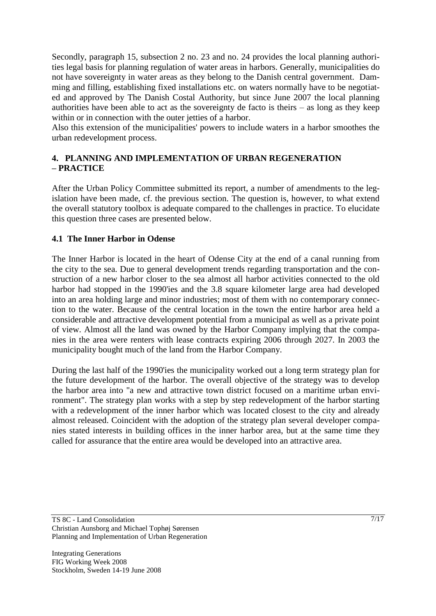Secondly, paragraph 15, subsection 2 no. 23 and no. 24 provides the local planning authorities legal basis for planning regulation of water areas in harbors. Generally, municipalities do not have sovereignty in water areas as they belong to the Danish central government. Damming and filling, establishing fixed installations etc. on waters normally have to be negotiated and approved by The Danish Costal Authority, but since June 2007 the local planning authorities have been able to act as the sovereignty de facto is theirs  $-$  as long as they keep within or in connection with the outer jetties of a harbor.

Also this extension of the municipalities' powers to include waters in a harbor smoothes the urban redevelopment process.

## **4. PLANNING AND IMPLEMENTATION OF URBAN REGENERATION – PRACTICE**

After the Urban Policy Committee submitted its report, a number of amendments to the legislation have been made, cf. the previous section. The question is, however, to what extend the overall statutory toolbox is adequate compared to the challenges in practice. To elucidate this question three cases are presented below.

## **4.1 The Inner Harbor in Odense**

The Inner Harbor is located in the heart of Odense City at the end of a canal running from the city to the sea. Due to general development trends regarding transportation and the construction of a new harbor closer to the sea almost all harbor activities connected to the old harbor had stopped in the 1990'ies and the 3.8 square kilometer large area had developed into an area holding large and minor industries; most of them with no contemporary connection to the water. Because of the central location in the town the entire harbor area held a considerable and attractive development potential from a municipal as well as a private point of view. Almost all the land was owned by the Harbor Company implying that the companies in the area were renters with lease contracts expiring 2006 through 2027. In 2003 the municipality bought much of the land from the Harbor Company.

During the last half of the 1990'ies the municipality worked out a long term strategy plan for the future development of the harbor. The overall objective of the strategy was to develop the harbor area into "a new and attractive town district focused on a maritime urban environment". The strategy plan works with a step by step redevelopment of the harbor starting with a redevelopment of the inner harbor which was located closest to the city and already almost released. Coincident with the adoption of the strategy plan several developer companies stated interests in building offices in the inner harbor area, but at the same time they called for assurance that the entire area would be developed into an attractive area.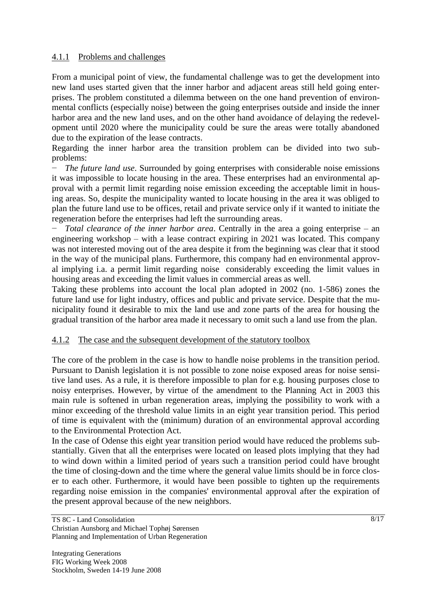### 4.1.1 Problems and challenges

From a municipal point of view, the fundamental challenge was to get the development into new land uses started given that the inner harbor and adjacent areas still held going enterprises. The problem constituted a dilemma between on the one hand prevention of environmental conflicts (especially noise) between the going enterprises outside and inside the inner harbor area and the new land uses, and on the other hand avoidance of delaying the redevelopment until 2020 where the municipality could be sure the areas were totally abandoned due to the expiration of the lease contracts.

Regarding the inner harbor area the transition problem can be divided into two subproblems:

*The future land use.* Surrounded by going enterprises with considerable noise emissions it was impossible to locate housing in the area. These enterprises had an environmental approval with a permit limit regarding noise emission exceeding the acceptable limit in housing areas. So, despite the municipality wanted to locate housing in the area it was obliged to plan the future land use to be offices, retail and private service only if it wanted to initiate the regeneration before the enterprises had left the surrounding areas.

− *Total clearance of the inner harbor area*. Centrally in the area a going enterprise – an engineering workshop – with a lease contract expiring in 2021 was located. This company was not interested moving out of the area despite it from the beginning was clear that it stood in the way of the municipal plans. Furthermore, this company had en environmental approval implying i.a. a permit limit regarding noise considerably exceeding the limit values in housing areas and exceeding the limit values in commercial areas as well.

Taking these problems into account the local plan adopted in 2002 (no. 1-586) zones the future land use for light industry, offices and public and private service. Despite that the municipality found it desirable to mix the land use and zone parts of the area for housing the gradual transition of the harbor area made it necessary to omit such a land use from the plan.

### 4.1.2 The case and the subsequent development of the statutory toolbox

The core of the problem in the case is how to handle noise problems in the transition period. Pursuant to Danish legislation it is not possible to zone noise exposed areas for noise sensitive land uses. As a rule, it is therefore impossible to plan for e.g. housing purposes close to noisy enterprises. However, by virtue of the amendment to the Planning Act in 2003 this main rule is softened in urban regeneration areas, implying the possibility to work with a minor exceeding of the threshold value limits in an eight year transition period. This period of time is equivalent with the (minimum) duration of an environmental approval according to the Environmental Protection Act.

In the case of Odense this eight year transition period would have reduced the problems substantially. Given that all the enterprises were located on leased plots implying that they had to wind down within a limited period of years such a transition period could have brought the time of closing-down and the time where the general value limits should be in force closer to each other. Furthermore, it would have been possible to tighten up the requirements regarding noise emission in the companies' environmental approval after the expiration of the present approval because of the new neighbors.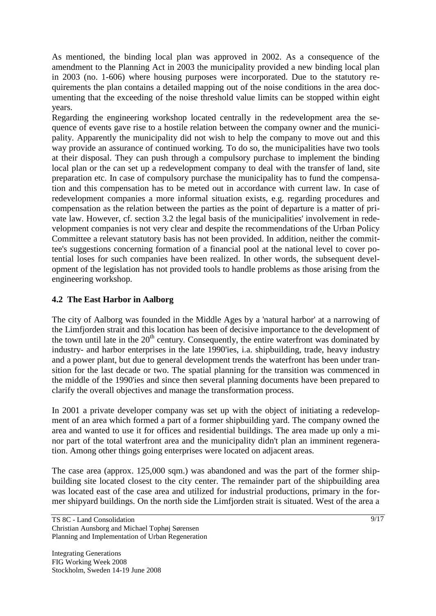As mentioned, the binding local plan was approved in 2002. As a consequence of the amendment to the Planning Act in 2003 the municipality provided a new binding local plan in 2003 (no. 1-606) where housing purposes were incorporated. Due to the statutory requirements the plan contains a detailed mapping out of the noise conditions in the area documenting that the exceeding of the noise threshold value limits can be stopped within eight years.

Regarding the engineering workshop located centrally in the redevelopment area the sequence of events gave rise to a hostile relation between the company owner and the municipality. Apparently the municipality did not wish to help the company to move out and this way provide an assurance of continued working. To do so, the municipalities have two tools at their disposal. They can push through a compulsory purchase to implement the binding local plan or the can set up a redevelopment company to deal with the transfer of land, site preparation etc. In case of compulsory purchase the municipality has to fund the compensation and this compensation has to be meted out in accordance with current law. In case of redevelopment companies a more informal situation exists, e.g. regarding procedures and compensation as the relation between the parties as the point of departure is a matter of private law. However, cf. section 3.2 the legal basis of the municipalities' involvement in redevelopment companies is not very clear and despite the recommendations of the Urban Policy Committee a relevant statutory basis has not been provided. In addition, neither the committee's suggestions concerning formation of a financial pool at the national level to cover potential loses for such companies have been realized. In other words, the subsequent development of the legislation has not provided tools to handle problems as those arising from the engineering workshop.

# **4.2 The East Harbor in Aalborg**

The city of Aalborg was founded in the Middle Ages by a 'natural harbor' at a narrowing of the Limfjorden strait and this location has been of decisive importance to the development of the town until late in the  $20<sup>th</sup>$  century. Consequently, the entire waterfront was dominated by industry- and harbor enterprises in the late 1990'ies, i.a. shipbuilding, trade, heavy industry and a power plant, but due to general development trends the waterfront has been under transition for the last decade or two. The spatial planning for the transition was commenced in the middle of the 1990'ies and since then several planning documents have been prepared to clarify the overall objectives and manage the transformation process.

In 2001 a private developer company was set up with the object of initiating a redevelopment of an area which formed a part of a former shipbuilding yard. The company owned the area and wanted to use it for offices and residential buildings. The area made up only a minor part of the total waterfront area and the municipality didn't plan an imminent regeneration. Among other things going enterprises were located on adjacent areas.

The case area (approx. 125,000 sqm.) was abandoned and was the part of the former shipbuilding site located closest to the city center. The remainder part of the shipbuilding area was located east of the case area and utilized for industrial productions, primary in the former shipyard buildings. On the north side the Limfjorden strait is situated. West of the area a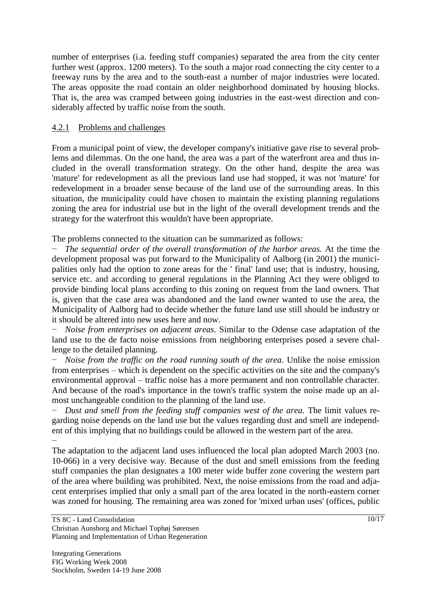number of enterprises (i.a. feeding stuff companies) separated the area from the city center further west (approx. 1200 meters). To the south a major road connecting the city center to a freeway runs by the area and to the south-east a number of major industries were located. The areas opposite the road contain an older neighborhood dominated by housing blocks. That is, the area was cramped between going industries in the east-west direction and considerably affected by traffic noise from the south.

## 4.2.1 Problems and challenges

From a municipal point of view, the developer company's initiative gave rise to several problems and dilemmas. On the one hand, the area was a part of the waterfront area and thus included in the overall transformation strategy. On the other hand, despite the area was 'mature' for redevelopment as all the previous land use had stopped, it was not 'mature' for redevelopment in a broader sense because of the land use of the surrounding areas. In this situation, the municipality could have chosen to maintain the existing planning regulations zoning the area for industrial use but in the light of the overall development trends and the strategy for the waterfront this wouldn't have been appropriate.

The problems connected to the situation can be summarized as follows:

The sequential order of the overall transformation of the harbor areas. At the time the development proposal was put forward to the Municipality of Aalborg (in 2001) the municipalities only had the option to zone areas for the ' final' land use; that is industry, housing, service etc. and according to general regulations in the Planning Act they were obliged to provide binding local plans according to this zoning on request from the land owners. That is, given that the case area was abandoned and the land owner wanted to use the area, the Municipality of Aalborg had to decide whether the future land use still should be industry or it should be altered into new uses here and now.

*Noise from enterprises on adjacent areas.* Similar to the Odense case adaptation of the land use to the de facto noise emissions from neighboring enterprises posed a severe challenge to the detailed planning.

*Noise from the traffic on the road running south of the area.* Unlike the noise emission from enterprises – which is dependent on the specific activities on the site and the company's environmental approval – traffic noise has a more permanent and non controllable character. And because of the road's importance in the town's traffic system the noise made up an almost unchangeable condition to the planning of the land use.

− *Dust and smell from the feeding stuff companies west of the area.* The limit values regarding noise depends on the land use but the values regarding dust and smell are independent of this implying that no buildings could be allowed in the western part of the area. −

The adaptation to the adjacent land uses influenced the local plan adopted March 2003 (no. 10-066) in a very decisive way. Because of the dust and smell emissions from the feeding stuff companies the plan designates a 100 meter wide buffer zone covering the western part of the area where building was prohibited. Next, the noise emissions from the road and adjacent enterprises implied that only a small part of the area located in the north-eastern corner was zoned for housing. The remaining area was zoned for 'mixed urban uses' (offices, public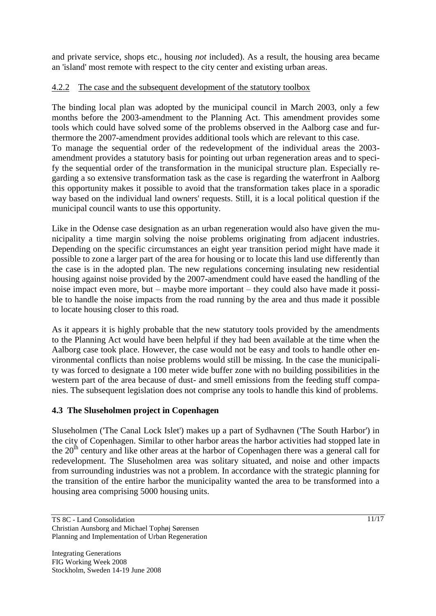and private service, shops etc., housing *not* included). As a result, the housing area became an 'island' most remote with respect to the city center and existing urban areas.

## 4.2.2 The case and the subsequent development of the statutory toolbox

The binding local plan was adopted by the municipal council in March 2003, only a few months before the 2003-amendment to the Planning Act. This amendment provides some tools which could have solved some of the problems observed in the Aalborg case and furthermore the 2007-amendment provides additional tools which are relevant to this case. To manage the sequential order of the redevelopment of the individual areas the 2003 amendment provides a statutory basis for pointing out urban regeneration areas and to specify the sequential order of the transformation in the municipal structure plan. Especially regarding a so extensive transformation task as the case is regarding the waterfront in Aalborg this opportunity makes it possible to avoid that the transformation takes place in a sporadic way based on the individual land owners' requests. Still, it is a local political question if the municipal council wants to use this opportunity.

Like in the Odense case designation as an urban regeneration would also have given the municipality a time margin solving the noise problems originating from adjacent industries. Depending on the specific circumstances an eight year transition period might have made it possible to zone a larger part of the area for housing or to locate this land use differently than the case is in the adopted plan. The new regulations concerning insulating new residential housing against noise provided by the 2007-amendment could have eased the handling of the noise impact even more, but – maybe more important – they could also have made it possible to handle the noise impacts from the road running by the area and thus made it possible to locate housing closer to this road.

As it appears it is highly probable that the new statutory tools provided by the amendments to the Planning Act would have been helpful if they had been available at the time when the Aalborg case took place. However, the case would not be easy and tools to handle other environmental conflicts than noise problems would still be missing. In the case the municipality was forced to designate a 100 meter wide buffer zone with no building possibilities in the western part of the area because of dust- and smell emissions from the feeding stuff companies. The subsequent legislation does not comprise any tools to handle this kind of problems.

# **4.3 The Sluseholmen project in Copenhagen**

Sluseholmen ('The Canal Lock Islet') makes up a part of Sydhavnen ('The South Harbor') in the city of Copenhagen. Similar to other harbor areas the harbor activities had stopped late in the  $20<sup>th</sup>$  century and like other areas at the harbor of Copenhagen there was a general call for redevelopment. The Sluseholmen area was solitary situated, and noise and other impacts from surrounding industries was not a problem. In accordance with the strategic planning for the transition of the entire harbor the municipality wanted the area to be transformed into a housing area comprising 5000 housing units.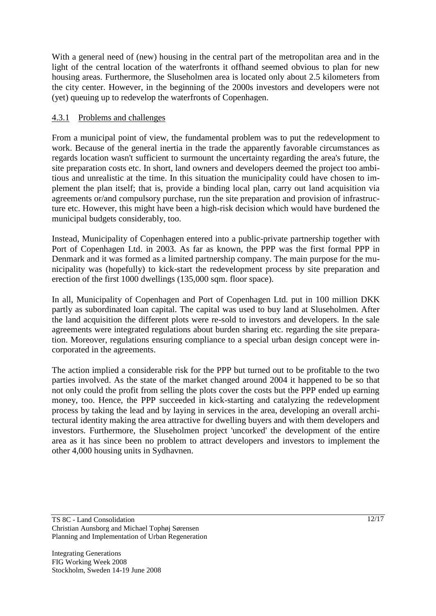With a general need of (new) housing in the central part of the metropolitan area and in the light of the central location of the waterfronts it offhand seemed obvious to plan for new housing areas. Furthermore, the Sluseholmen area is located only about 2.5 kilometers from the city center. However, in the beginning of the 2000s investors and developers were not (yet) queuing up to redevelop the waterfronts of Copenhagen.

### 4.3.1 Problems and challenges

From a municipal point of view, the fundamental problem was to put the redevelopment to work. Because of the general inertia in the trade the apparently favorable circumstances as regards location wasn't sufficient to surmount the uncertainty regarding the area's future, the site preparation costs etc. In short, land owners and developers deemed the project too ambitious and unrealistic at the time. In this situation the municipality could have chosen to implement the plan itself; that is, provide a binding local plan, carry out land acquisition via agreements or/and compulsory purchase, run the site preparation and provision of infrastructure etc. However, this might have been a high-risk decision which would have burdened the municipal budgets considerably, too.

Instead, Municipality of Copenhagen entered into a public-private partnership together with Port of Copenhagen Ltd. in 2003. As far as known, the PPP was the first formal PPP in Denmark and it was formed as a limited partnership company. The main purpose for the municipality was (hopefully) to kick-start the redevelopment process by site preparation and erection of the first 1000 dwellings (135,000 sqm. floor space).

In all, Municipality of Copenhagen and Port of Copenhagen Ltd. put in 100 million DKK partly as subordinated loan capital. The capital was used to buy land at Sluseholmen. After the land acquisition the different plots were re-sold to investors and developers. In the sale agreements were integrated regulations about burden sharing etc. regarding the site preparation. Moreover, regulations ensuring compliance to a special urban design concept were incorporated in the agreements.

The action implied a considerable risk for the PPP but turned out to be profitable to the two parties involved. As the state of the market changed around 2004 it happened to be so that not only could the profit from selling the plots cover the costs but the PPP ended up earning money, too. Hence, the PPP succeeded in kick-starting and catalyzing the redevelopment process by taking the lead and by laying in services in the area, developing an overall architectural identity making the area attractive for dwelling buyers and with them developers and investors. Furthermore, the Sluseholmen project 'uncorked' the development of the entire area as it has since been no problem to attract developers and investors to implement the other 4,000 housing units in Sydhavnen.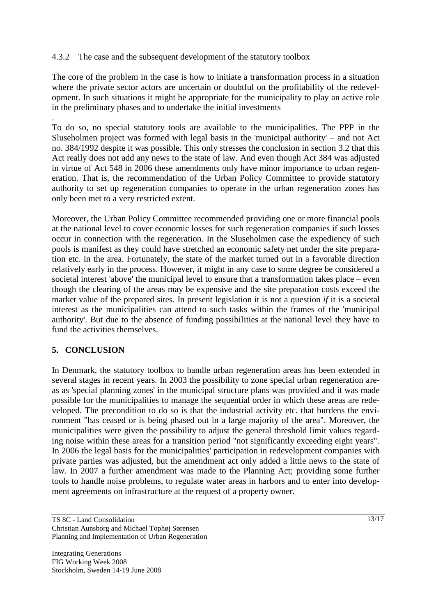### 4.3.2 The case and the subsequent development of the statutory toolbox

The core of the problem in the case is how to initiate a transformation process in a situation where the private sector actors are uncertain or doubtful on the profitability of the redevelopment. In such situations it might be appropriate for the municipality to play an active role in the preliminary phases and to undertake the initial investments

. To do so, no special statutory tools are available to the municipalities. The PPP in the Sluseholmen project was formed with legal basis in the 'municipal authority' – and not Act no. 384/1992 despite it was possible. This only stresses the conclusion in section 3.2 that this Act really does not add any news to the state of law. And even though Act 384 was adjusted in virtue of Act 548 in 2006 these amendments only have minor importance to urban regeneration. That is, the recommendation of the Urban Policy Committee to provide statutory authority to set up regeneration companies to operate in the urban regeneration zones has only been met to a very restricted extent.

Moreover, the Urban Policy Committee recommended providing one or more financial pools at the national level to cover economic losses for such regeneration companies if such losses occur in connection with the regeneration. In the Sluseholmen case the expediency of such pools is manifest as they could have stretched an economic safety net under the site preparation etc. in the area. Fortunately, the state of the market turned out in a favorable direction relatively early in the process. However, it might in any case to some degree be considered a societal interest 'above' the municipal level to ensure that a transformation takes place – even though the clearing of the areas may be expensive and the site preparation costs exceed the market value of the prepared sites. In present legislation it is not a question *if* it is a societal interest as the municipalities can attend to such tasks within the frames of the 'municipal authority'. But due to the absence of funding possibilities at the national level they have to fund the activities themselves.

### **5. CONCLUSION**

In Denmark, the statutory toolbox to handle urban regeneration areas has been extended in several stages in recent years. In 2003 the possibility to zone special urban regeneration areas as 'special planning zones' in the municipal structure plans was provided and it was made possible for the municipalities to manage the sequential order in which these areas are redeveloped. The precondition to do so is that the industrial activity etc. that burdens the environment "has ceased or is being phased out in a large majority of the area". Moreover, the municipalities were given the possibility to adjust the general threshold limit values regarding noise within these areas for a transition period "not significantly exceeding eight years". In 2006 the legal basis for the municipalities' participation in redevelopment companies with private parties was adjusted, but the amendment act only added a little news to the state of law. In 2007 a further amendment was made to the Planning Act; providing some further tools to handle noise problems, to regulate water areas in harbors and to enter into development agreements on infrastructure at the request of a property owner.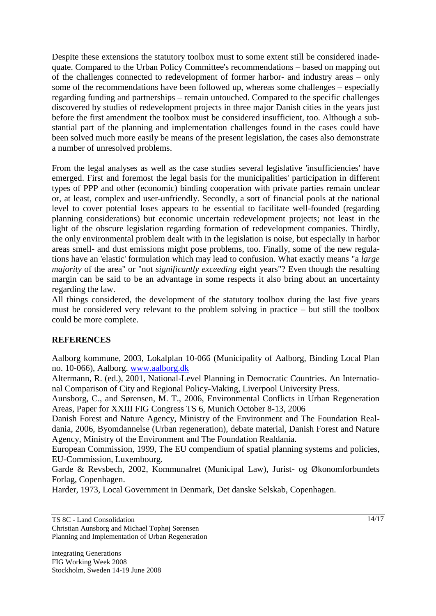Despite these extensions the statutory toolbox must to some extent still be considered inadequate. Compared to the Urban Policy Committee's recommendations – based on mapping out of the challenges connected to redevelopment of former harbor- and industry areas – only some of the recommendations have been followed up, whereas some challenges – especially regarding funding and partnerships – remain untouched. Compared to the specific challenges discovered by studies of redevelopment projects in three major Danish cities in the years just before the first amendment the toolbox must be considered insufficient, too. Although a substantial part of the planning and implementation challenges found in the cases could have been solved much more easily be means of the present legislation, the cases also demonstrate a number of unresolved problems.

From the legal analyses as well as the case studies several legislative 'insufficiencies' have emerged. First and foremost the legal basis for the municipalities' participation in different types of PPP and other (economic) binding cooperation with private parties remain unclear or, at least, complex and user-unfriendly. Secondly, a sort of financial pools at the national level to cover potential loses appears to be essential to facilitate well-founded (regarding planning considerations) but economic uncertain redevelopment projects; not least in the light of the obscure legislation regarding formation of redevelopment companies. Thirdly, the only environmental problem dealt with in the legislation is noise, but especially in harbor areas smell- and dust emissions might pose problems, too. Finally, some of the new regulations have an 'elastic' formulation which may lead to confusion. What exactly means "a *large majority* of the area" or "not *significantly exceeding* eight years"? Even though the resulting margin can be said to be an advantage in some respects it also bring about an uncertainty regarding the law.

All things considered, the development of the statutory toolbox during the last five years must be considered very relevant to the problem solving in practice – but still the toolbox could be more complete.

### **REFERENCES**

Aalborg kommune, 2003, Lokalplan 10-066 (Municipality of Aalborg, Binding Local Plan no. 10-066), Aalborg. [www.aalborg.dk](http://www.aalborg.dk/images/teknisk/B&M/PDF/PlanVis/stadark/lokalpla/gaeldene/10/10-066.pdf)

Altermann, R. (ed.), 2001, National-Level Planning in Democratic Countries. An International Comparison of City and Regional Policy-Making, Liverpool University Press.

Aunsborg, C., and Sørensen, M. T., 2006, Environmental Conflicts in Urban Regeneration Areas, Paper for XXIII FIG Congress TS 6, Munich October 8-13, 2006

Danish Forest and Nature Agency, Ministry of the Environment and The Foundation Realdania, 2006, Byomdannelse (Urban regeneration), debate material, Danish Forest and Nature Agency, Ministry of the Environment and The Foundation Realdania.

European Commission, 1999, The EU compendium of spatial planning systems and policies, EU-Commission, Luxembourg.

Garde & Revsbech, 2002, Kommunalret (Municipal Law), Jurist- og Økonomforbundets Forlag, Copenhagen.

Harder, 1973, Local Government in Denmark, Det danske Selskab, Copenhagen.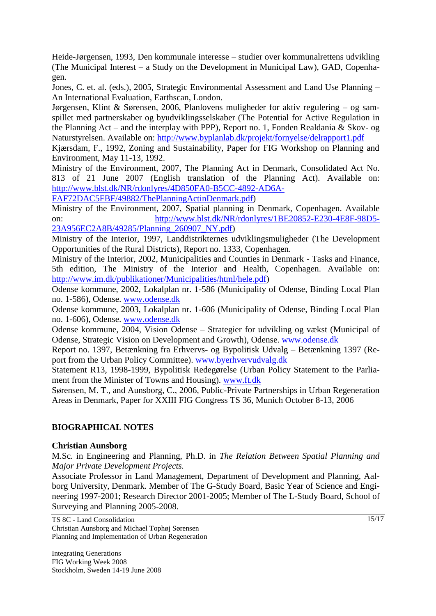Heide-Jørgensen, 1993, Den kommunale interesse – studier over kommunalrettens udvikling (The Municipal Interest – a Study on the Development in Municipal Law), GAD, Copenhagen.

Jones, C. et. al. (eds.), 2005, Strategic Environmental Assessment and Land Use Planning – An International Evaluation, Earthscan, London.

Jørgensen, Klint & Sørensen, 2006, Planlovens muligheder for aktiv regulering – og samspillet med partnerskaber og byudviklingsselskaber (The Potential for Active Regulation in the Planning Act – and the interplay with PPP), Report no. 1, Fonden Realdania & Skov- og Naturstyrelsen. Available on:<http://www.byplanlab.dk/projekt/fornyelse/delrapport1.pdf>

Kjærsdam, F., 1992, Zoning and Sustainability, Paper for FIG Workshop on Planning and Environment, May 11-13, 1992.

Ministry of the Environment, 2007, The Planning Act in Denmark, Consolidated Act No. 813 of 21 June 2007 (English translation of the Planning Act). Available on: [http://www.blst.dk/NR/rdonlyres/4D850FA0-B5CC-4892-AD6A-](http://www.blst.dk/NR/rdonlyres/4D850FA0-B5CC-4892-AD6A-FAF72DAC5FBF/49882/ThePlanningActinDenmark.pdf)

[FAF72DAC5FBF/49882/ThePlanningActinDenmark.pdf\)](http://www.blst.dk/NR/rdonlyres/4D850FA0-B5CC-4892-AD6A-FAF72DAC5FBF/49882/ThePlanningActinDenmark.pdf)

Ministry of the Environment, 2007, Spatial planning in Denmark, Copenhagen. Available on: [http://www.blst.dk/NR/rdonlyres/1BE20852-E230-4E8F-98D5-](http://www.blst.dk/NR/rdonlyres/1BE20852-E230-4E8F-98D5-23A956EC2A8B/49285/Planning_260907_NY.pdf) [23A956EC2A8B/49285/Planning\\_260907\\_NY.pdf\)](http://www.blst.dk/NR/rdonlyres/1BE20852-E230-4E8F-98D5-23A956EC2A8B/49285/Planning_260907_NY.pdf)

Ministry of the Interior, 1997, Landdistrikternes udviklingsmuligheder (The Development Opportunities of the Rural Districts), Report no. 1333, Copenhagen.

Ministry of the Interior, 2002, Municipalities and Counties in Denmark - Tasks and Finance, 5th edition, The Ministry of the Interior and Health, Copenhagen. Available on: [http://www.im.dk/publikationer/Municipalities/html/hele.pdf\)](http://www.im.dk/publikationer/Municipalities/html/hele.pdf)

Odense kommune, 2002, Lokalplan nr. 1-586 (Municipality of Odense, Binding Local Plan no. 1-586), Odense. [www.odense.dk](http://ww.odense.dk/Odense/LokalPl.NSF/HTML_View/C9E593FC9FD27742C1256C72004366E3/$file/Lp1-586.pdf)

Odense kommune, 2003, Lokalplan nr. 1-606 (Municipality of Odense, Binding Local Plan no. 1-606), Odense. [www.odense.dk](http://ww.odense.dk/Odense/LokalPl.NSF/HTML_View/8BC2E04D598286F7C1256D51003FDB96/$file/Lp1-606.pdf)

Odense kommune, 2004, Vision Odense – Strategier for udvikling og vækst (Municipal of Odense, Strategic Vision on Development and Growth), Odense. [www.odense.dk](http://www.odense.dk/upload/Kommuneplan/swebvision_84654.pdf)

Report no. 1397, Betænkning fra Erhvervs- og Bypolitisk Udvalg – Betænkning 1397 (Report from the Urban Policy Committee). [www.byerhvervudvalg.dk](http://www.byerhvervudvalg.dk/betaenkning1397.pdf)

Statement R13, 1998-1999, Bypolitisk Redegørelse (Urban Policy Statement to the Parliament from the Minister of Towns and Housing). [www.ft.dk](http://www.ft.dk/?/samling/20051/MENU/00000002.htm)

Sørensen, M. T., and Aunsborg, C., 2006, Public-Private Partnerships in Urban Regeneration Areas in Denmark, Paper for XXIII FIG Congress TS 36, Munich October 8-13, 2006

### **BIOGRAPHICAL NOTES**

#### **Christian Aunsborg**

M.Sc. in Engineering and Planning, Ph.D. in *The Relation Between Spatial Planning and Major Private Development Projects.*

Associate Professor in Land Management, Department of Development and Planning, Aalborg University, Denmark. Member of The G-Study Board, Basic Year of Science and Engineering 1997-2001; Research Director 2001-2005; Member of The L-Study Board, School of Surveying and Planning 2005-2008.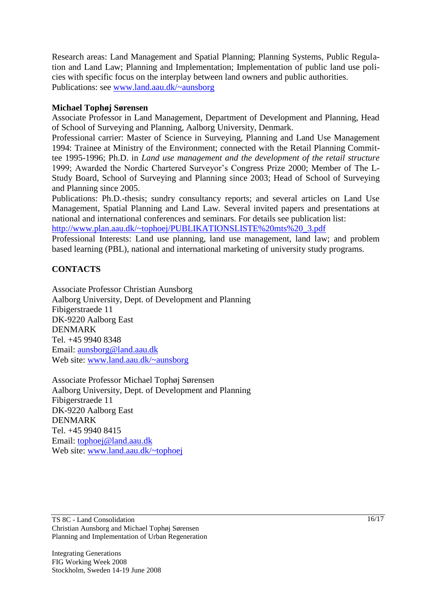Research areas: Land Management and Spatial Planning; Planning Systems, Public Regulation and Land Law; Planning and Implementation; Implementation of public land use policies with specific focus on the interplay between land owners and public authorities. Publications: see [www.land.aau.dk/~aunsborg](http://www.land.aau.dk/~aunsborg)

### **Michael Tophøj Sørensen**

Associate Professor in Land Management, Department of Development and Planning, Head of School of Surveying and Planning, Aalborg University, Denmark.

Professional carrier: Master of Science in Surveying, Planning and Land Use Management 1994: Trainee at Ministry of the Environment; connected with the Retail Planning Committee 1995-1996; Ph.D. in *Land use management and the development of the retail structure* 1999; Awarded the Nordic Chartered Surveyor"s Congress Prize 2000; Member of The L-Study Board, School of Surveying and Planning since 2003; Head of School of Surveying and Planning since 2005.

Publications: Ph.D.-thesis; sundry consultancy reports; and several articles on Land Use Management, Spatial Planning and Land Law. Several invited papers and presentations at national and international conferences and seminars. For details see publication list: [http://www.plan.aau.dk/~tophoej/PUBLIKATIONSLISTE%20mts%20\\_3.pdf](http://www.plan.aau.dk/~tophoej/PUBLIKATIONSLISTE%20mts%20_3.pdf)

Professional Interests: Land use planning, land use management, land law; and problem based learning (PBL), national and international marketing of university study programs.

### **CONTACTS**

Associate Professor Christian Aunsborg Aalborg University, Dept. of Development and Planning Fibigerstraede 11 DK-9220 Aalborg East DENMARK Tel. +45 9940 8348 Email: [aunsborg@land.aau.dk](mailto:aunsborg@land.aau.dk) Web site: [www.land.aau.dk/~aunsborg](http://www.land.aau.dk/~aunsborg)

Associate Professor Michael Tophøj Sørensen Aalborg University, Dept. of Development and Planning Fibigerstraede 11 DK-9220 Aalborg East DENMARK Tel. +45 9940 8415 Email: [tophoej@land.aau.dk](mailto:tophoej@land.aau.dk) Web site: [www.land.aau.dk/~tophoej](http://www.land.aau.dk/~tophoej)